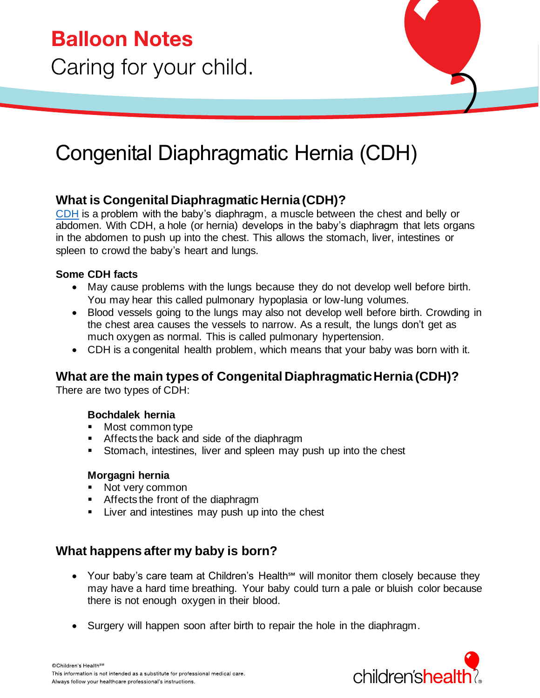## Congenital Diaphragmatic Hernia (CDH)

## **What is Congenital Diaphragmatic Hernia (CDH)?**

[CDH](https://www.childrens.com/specialties-services/conditions/congenital-diaphragmatic-hernia) is a problem with the baby's diaphragm, a muscle between the chest and belly or abdomen. With CDH, a hole (or hernia) develops in the baby's diaphragm that lets organs in the abdomen to push up into the chest. This allows the stomach, liver, intestines or spleen to crowd the baby's heart and lungs.

#### **Some CDH facts**

- May cause problems with the lungs because they do not develop well before birth. You may hear this called pulmonary hypoplasia or low-lung volumes.
- Blood vessels going to the lungs may also not develop well before birth. Crowding in the chest area causes the vessels to narrow. As a result, the lungs don't get as much oxygen as normal. This is called pulmonary hypertension.
- CDH is a congenital health problem, which means that your baby was born with it.

## **What are the main types of Congenital Diaphragmatic Hernia (CDH)?**

There are two types of CDH:

#### **Bochdalek hernia**

- Most common type
- Affects the back and side of the diaphragm
- Stomach, intestines, liver and spleen may push up into the chest

#### **Morgagni hernia**

- Not very common
- Affects the front of the diaphragm
- Liver and intestines may push up into the chest

### **What happens after my baby is born?**

- Your baby's care team at Children's Health<sup>*s*M</sup> will monitor them closely because they may have a hard time breathing. Your baby could turn a pale or bluish color because there is not enough oxygen in their blood.
- Surgery will happen soon after birth to repair the hole in the diaphragm.